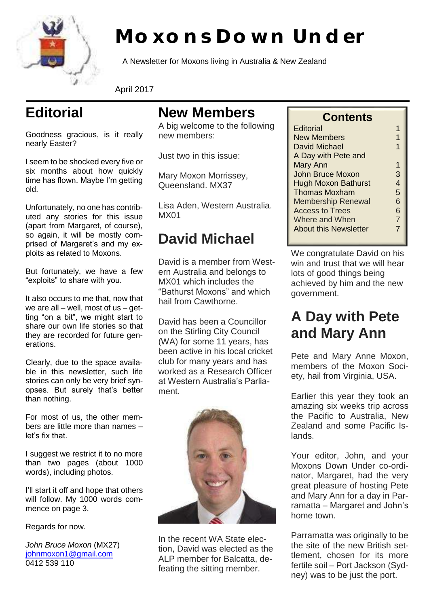

# **Moxons Down Under**

A Newsletter for Moxons living in Australia & New Zealand

April 2017

## **Editorial**

Goodness gracious, is it really nearly Easter?

I seem to be shocked every five or six months about how quickly time has flown. Maybe I'm getting old.

Unfortunately, no one has contributed any stories for this issue (apart from Margaret, of course), so again, it will be mostly comprised of Margaret's and my exploits as related to Moxons.

But fortunately, we have a few "exploits" to share with you.

It also occurs to me that, now that we are all – well, most of  $us - get$ ting "on a bit", we might start to share our own life stories so that they are recorded for future generations.

Clearly, due to the space available in this newsletter, such life stories can only be very brief synopses. But surely that's better than nothing.

For most of us, the other members are little more than names – let's fix that.

I suggest we restrict it to no more than two pages (about 1000 words), including photos.

I'll start it off and hope that others will follow. My 1000 words commence on page 3.

Regards for now.

*John Bruce Moxon* (MX27) johnmoxon1@gmail.com 0412 539 110

#### **New Members**

A big welcome to the following new members:

Just two in this issue:

Mary Moxon Morrissey, Queensland. MX37

Lisa Aden, Western Australia. MX01

#### **David Michael**

David is a member from Western Australia and belongs to MX01 which includes the "Bathurst Moxons" and which hail from Cawthorne.

David has been a Councillor on the Stirling City Council (WA) for some 11 years, has been active in his local cricket club for many years and has worked as a Research Officer at Western Australia's Parliament.



In the recent WA State election, David was elected as the ALP member for Balcatta, defeating the sitting member.

#### **Contents**

| Editorial                    |                |
|------------------------------|----------------|
| <b>New Members</b>           | 1              |
| David Michael                | 1              |
| A Day with Pete and          |                |
| Mary Ann                     | 1              |
| John Bruce Moxon             | 3              |
| <b>Hugh Moxon Bathurst</b>   | 4              |
| <b>Thomas Moxham</b>         | 5              |
| <b>Membership Renewal</b>    | 6              |
| <b>Access to Trees</b>       | 6              |
| Where and When               | $\overline{7}$ |
| <b>About this Newsletter</b> | 7              |
|                              |                |

We congratulate David on his win and trust that we will hear lots of good things being achieved by him and the new government.

### **A Day with Pete and Mary Ann**

Pete and Mary Anne Moxon, members of the Moxon Society, hail from Virginia, USA.

Earlier this year they took an amazing six weeks trip across the Pacific to Australia, New Zealand and some Pacific Islands.

Your editor, John, and your Moxons Down Under co-ordinator, Margaret, had the very great pleasure of hosting Pete and Mary Ann for a day in Parramatta – Margaret and John's home town.

Parramatta was originally to be the site of the new British settlement, chosen for its more fertile soil – Port Jackson (Sydney) was to be just the port.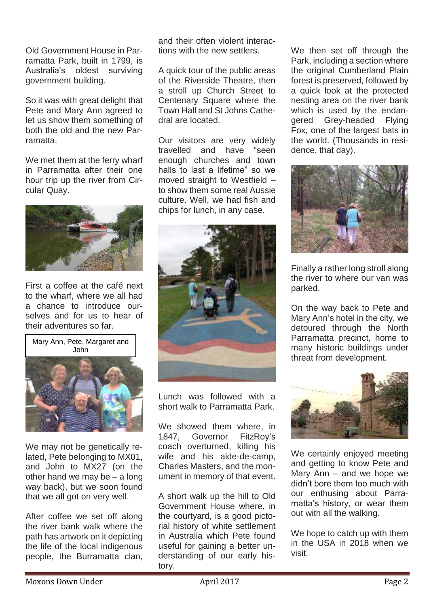Old Government House in Parramatta Park, built in 1799, is Australia's oldest surviving government building.

So it was with great delight that Pete and Mary Ann agreed to let us show them something of both the old and the new Parramatta.

We met them at the ferry wharf in Parramatta after their one hour trip up the river from Circular Quay.



First a coffee at the café next to the wharf, where we all had a chance to introduce ourselves and for us to hear of their adventures so far.



We may not be genetically related, Pete belonging to MX01, and John to MX27 (on the other hand we may be – a long way back), but we soon found that we all got on very well.

After coffee we set off along the river bank walk where the path has artwork on it depicting the life of the local indigenous people, the Burramatta clan,

and their often violent interactions with the new settlers.

A quick tour of the public areas of the Riverside Theatre, then a stroll up Church Street to Centenary Square where the Town Hall and St Johns Cathedral are located.

Our visitors are very widely travelled and have "seen enough churches and town halls to last a lifetime" so we moved straight to Westfield – to show them some real Aussie culture. Well, we had fish and chips for lunch, in any case.



Lunch was followed with a short walk to Parramatta Park.

We showed them where, in 1847, Governor FitzRoy's coach overturned, killing his wife and his aide-de-camp, Charles Masters, and the monument in memory of that event.

A short walk up the hill to Old Government House where, in the courtyard, is a good pictorial history of white settlement in Australia which Pete found useful for gaining a better understanding of our early history.

We then set off through the Park, including a section where the original Cumberland Plain forest is preserved, followed by a quick look at the protected nesting area on the river bank which is used by the endangered Grey-headed Flying Fox, one of the largest bats in the world. (Thousands in residence, that day).



Finally a rather long stroll along the river to where our van was parked.

On the way back to Pete and Mary Ann's hotel in the city, we detoured through the North Parramatta precinct, home to many historic buildings under threat from development.



We certainly enjoyed meeting and getting to know Pete and Mary Ann – and we hope we didn't bore them too much with our enthusing about Parramatta's history, or wear them out with all the walking.

We hope to catch up with them in the USA in 2018 when we visit.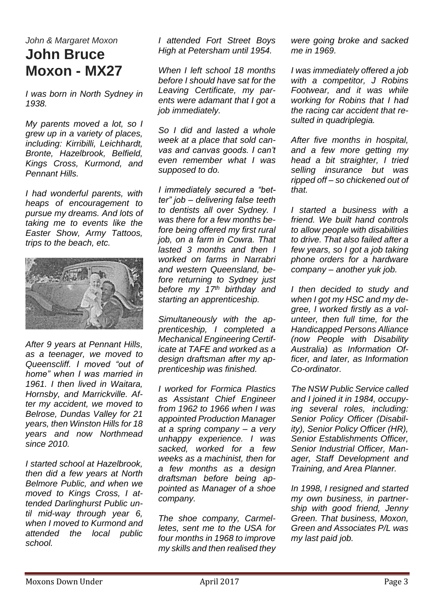#### *John & Margaret Moxon* **John Bruce Moxon - MX27**

*I was born in North Sydney in 1938.*

*My parents moved a lot, so I grew up in a variety of places, including: Kirribilli, Leichhardt, Bronte, Hazelbrook, Belfield, Kings Cross, Kurmond, and Pennant Hills.*

*I had wonderful parents, with heaps of encouragement to pursue my dreams. And lots of taking me to events like the Easter Show, Army Tattoos, trips to the beach, etc.*



*After 9 years at Pennant Hills, as a teenager, we moved to Queenscliff. I moved "out of home" when I was married in 1961. I then lived in Waitara, Hornsby, and Marrickville. After my accident, we moved to Belrose, Dundas Valley for 21 years, then Winston Hills for 18 years and now Northmead since 2010.*

*I started school at Hazelbrook, then did a few years at North Belmore Public, and when we moved to Kings Cross, I attended Darlinghurst Public until mid-way through year 6, when I moved to Kurmond and attended the local public school.*

*I attended Fort Street Boys High at Petersham until 1954.*

*When I left school 18 months before I should have sat for the Leaving Certificate, my parents were adamant that I got a job immediately.*

*So I did and lasted a whole week at a place that sold canvas and canvas goods. I can't even remember what I was supposed to do.*

*I immediately secured a "better" job – delivering false teeth to dentists all over Sydney. I was there for a few months before being offered my first rural job, on a farm in Cowra. That lasted 3 months and then I worked on farms in Narrabri and western Queensland, before returning to Sydney just before my 17th birthday and starting an apprenticeship.*

*Simultaneously with the apprenticeship, I completed a Mechanical Engineering Certificate at TAFE and worked as a design draftsman after my apprenticeship was finished.*

*I worked for Formica Plastics as Assistant Chief Engineer from 1962 to 1966 when I was appointed Production Manager at a spring company – a very unhappy experience. I was sacked, worked for a few weeks as a machinist, then for a few months as a design draftsman before being appointed as Manager of a shoe company.*

*The shoe company, Carmelletes, sent me to the USA for four months in 1968 to improve my skills and then realised they* 

*were going broke and sacked me in 1969.*

*I was immediately offered a job with a competitor, J Robins Footwear, and it was while working for Robins that I had the racing car accident that resulted in quadriplegia.*

*After five months in hospital, and a few more getting my head a bit straighter, I tried selling insurance but was ripped off – so chickened out of that.*

*I started a business with a friend. We built hand controls to allow people with disabilities to drive. That also failed after a few years, so I got a job taking phone orders for a hardware company – another yuk job.*

*I then decided to study and when I got my HSC and my degree, I worked firstly as a volunteer, then full time, for the Handicapped Persons Alliance (now People with Disability Australia) as Information Officer, and later, as Information Co-ordinator.*

*The NSW Public Service called and I joined it in 1984, occupying several roles, including: Senior Policy Officer (Disability), Senior Policy Officer (HR), Senior Establishments Officer, Senior Industrial Officer, Manager, Staff Development and Training, and Area Planner.*

*In 1998, I resigned and started my own business, in partnership with good friend, Jenny Green. That business, Moxon, Green and Associates P/L was my last paid job.*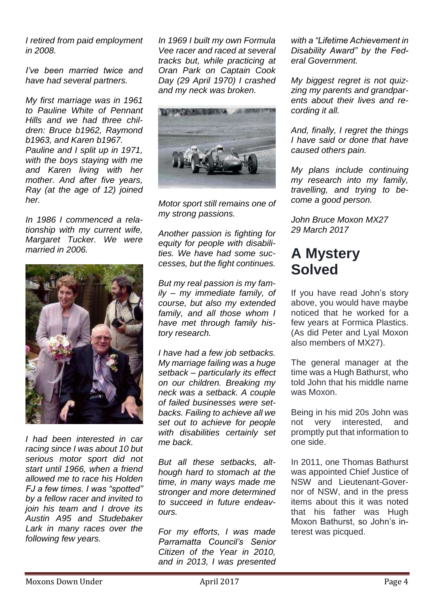*I retired from paid employment in 2008.*

*I've been married twice and have had several partners.*

*My first marriage was in 1961 to Pauline White of Pennant Hills and we had three children: Bruce b1962, Raymond b1963, and Karen b1967. Pauline and I split up in 1971, with the boys staying with me and Karen living with her mother. And after five years, Ray (at the age of 12) joined her.*

*In 1986 I commenced a relationship with my current wife, Margaret Tucker. We were married in 2006.*



*I had been interested in car racing since I was about 10 but serious motor sport did not start until 1966, when a friend allowed me to race his Holden FJ a few times. I was "spotted" by a fellow racer and invited to join his team and I drove its Austin A95 and Studebaker Lark in many races over the following few years.*

*In 1969 I built my own Formula Vee racer and raced at several tracks but, while practicing at Oran Park on Captain Cook Day (29 April 1970) I crashed and my neck was broken.*



*Motor sport still remains one of my strong passions.*

*Another passion is fighting for equity for people with disabilities. We have had some successes, but the fight continues.*

*But my real passion is my family – my immediate family, of course, but also my extended family, and all those whom I have met through family history research.*

*I have had a few job setbacks. My marriage failing was a huge setback – particularly its effect on our children. Breaking my neck was a setback. A couple of failed businesses were setbacks. Failing to achieve all we set out to achieve for people with disabilities certainly set me back.*

*But all these setbacks, although hard to stomach at the time, in many ways made me stronger and more determined to succeed in future endeavours.*

*For my efforts, I was made Parramatta Council's Senior Citizen of the Year in 2010, and in 2013, I was presented*  *with a "Lifetime Achievement in Disability Award" by the Federal Government.* 

*My biggest regret is not quizzing my parents and grandparents about their lives and recording it all.*

*And, finally, I regret the things I have said or done that have caused others pain.*

*My plans include continuing my research into my family, travelling, and trying to become a good person.*

*John Bruce Moxon MX27 29 March 2017*

#### **A Mystery Solved**

If you have read John's story above, you would have maybe noticed that he worked for a few years at Formica Plastics. (As did Peter and Lyal Moxon also members of MX27).

The general manager at the time was a Hugh Bathurst, who told John that his middle name was Moxon.

Being in his mid 20s John was not very interested, and promptly put that information to one side.

In 2011, one Thomas Bathurst was appointed Chief Justice of NSW and Lieutenant-Governor of NSW, and in the press items about this it was noted that his father was Hugh Moxon Bathurst, so John's interest was picqued.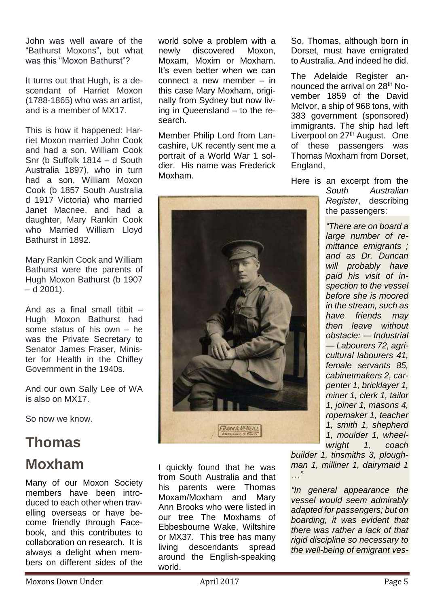John was well aware of the "Bathurst Moxons", but what was this "Moxon Bathurst"?

It turns out that Hugh, is a descendant of Harriet Moxon (1788-1865) who was an artist, and is a member of MX17.

This is how it happened: Harriet Moxon married John Cook and had a son, William Cook Snr (b Suffolk 1814 – d South Australia 1897), who in turn had a son, William Moxon Cook (b 1857 South Australia d 1917 Victoria) who married Janet Macnee, and had a daughter, Mary Rankin Cook who Married William Lloyd Bathurst in 1892.

Mary Rankin Cook and William Bathurst were the parents of Hugh Moxon Bathurst (b 1907  $- d 2001$ ).

And as a final small titbit – Hugh Moxon Bathurst had some status of his own – he was the Private Secretary to Senator James Fraser, Minister for Health in the Chifley Government in the 1940s.

And our own Sally Lee of WA is also on MX17.

So now we know.

#### **Thomas Moxham**

Many of our Moxon Society members have been introduced to each other when travelling overseas or have become friendly through Facebook, and this contributes to collaboration on research. It is always a delight when members on different sides of the

world solve a problem with a newly discovered Moxon, Moxam, Moxim or Moxham. It's even better when we can connect a new member – in this case Mary Moxham, originally from Sydney but now living in Queensland – to the research.

Member Philip Lord from Lancashire, UK recently sent me a portrait of a World War 1 soldier. His name was Frederick Moxham.



I quickly found that he was from South Australia and that his parents were Thomas Moxam/Moxham and Mary Ann Brooks who were listed in our tree The Moxhams of Ebbesbourne Wake, Wiltshire or MX37. This tree has many living descendants spread around the English-speaking world.

So, Thomas, although born in Dorset, must have emigrated to Australia. And indeed he did.

The Adelaide Register announced the arrival on 28<sup>th</sup> November 1859 of the David McIvor, a ship of 968 tons, with 383 government (sponsored) immigrants. The ship had left Liverpool on 27<sup>th</sup> August. One of these passengers was Thomas Moxham from Dorset, England,

Here is an excerpt from the

*South Australian Register*, describing the passengers:

*"There are on board a large number of remittance emigrants ; and as Dr. Duncan will probably have paid his visit of inspection to the vessel before she is moored in the stream, such as have friends may then leave without obstacle: — Industrial — Labourers 72, agricultural labourers 41, female servants 85, cabinetmakers 2, carpenter 1, bricklayer 1, miner 1, clerk 1, tailor 1, joiner 1, masons 4, ropemaker 1, teacher 1, smith 1, shepherd 1, moulder 1, wheelwright 1, coach* 

*builder 1, tinsmiths 3, ploughman 1, milliner 1, dairymaid 1 …"*

*"In general appearance the vessel would seem admirably adapted for passengers; but on boarding, it was evident that there was rather a lack of that rigid discipline so necessary to the well-being of emigrant ves-*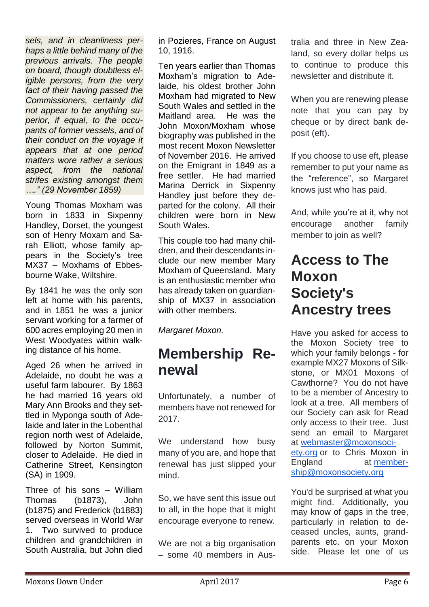*sels, and in cleanliness perhaps a little behind many of the previous arrivals. The people on board, though doubtless eligible persons, from the very fact of their having passed the Commissioners, certainly did not appear to be anything superior, if equal, to the occupants of former vessels, and of their conduct on the voyage it appears that at one period matters wore rather a serious aspect, from the national strifes existing amongst them …." (29 November 1859)*

Young Thomas Moxham was born in 1833 in Sixpenny Handley, Dorset, the youngest son of Henry Moxam and Sarah Elliott, whose family appears in the Society's tree MX37 – Moxhams of Ebbesbourne Wake, Wiltshire.

By 1841 he was the only son left at home with his parents, and in 1851 he was a junior servant working for a farmer of 600 acres employing 20 men in West Woodyates within walking distance of his home.

Aged 26 when he arrived in Adelaide, no doubt he was a useful farm labourer. By 1863 he had married 16 years old Mary Ann Brooks and they settled in Myponga south of Adelaide and later in the Lobenthal region north west of Adelaide, followed by Norton Summit, closer to Adelaide. He died in Catherine Street, Kensington (SA) in 1909.

Three of his sons – William Thomas (b1873), John (b1875) and Frederick (b1883) served overseas in World War 1. Two survived to produce children and grandchildren in South Australia, but John died

in Pozieres, France on August 10, 1916.

Ten years earlier than Thomas Moxham's migration to Adelaide, his oldest brother John Moxham had migrated to New South Wales and settled in the Maitland area. He was the John Moxon/Moxham whose biography was published in the most recent Moxon Newsletter of November 2016. He arrived on the Emigrant in 1849 as a free settler. He had married Marina Derrick in Sixpenny Handley just before they departed for the colony. All their children were born in New South Wales.

This couple too had many children, and their descendants include our new member Mary Moxham of Queensland. Mary is an enthusiastic member who has already taken on guardianship of MX37 in association with other members.

*Margaret Moxon.*

### **Membership Renewal**

Unfortunately, a number of members have not renewed for 2017.

We understand how busy many of you are, and hope that renewal has just slipped your mind.

So, we have sent this issue out to all, in the hope that it might encourage everyone to renew.

We are not a big organisation – some 40 members in Australia and three in New Zealand, so every dollar helps us to continue to produce this newsletter and distribute it.

When you are renewing please note that you can pay by cheque or by direct bank deposit (eft).

If you choose to use eft, please remember to put your name as the "reference", so Margaret knows just who has paid.

And, while you're at it, why not encourage another family member to join as well?

#### **Access to The Moxon Society's Ancestry trees**

Have you asked for access to the Moxon Society tree to which your family belongs - for example MX27 Moxons of Silkstone, or MX01 Moxons of Cawthorne? You do not have to be a member of Ancestry to look at a tree. All members of our Society can ask for Read only access to their tree. Just send an email to Margaret at webmaster@moxonsociety.org or to Chris Moxon in England at membership@moxonsociety.org

You'd be surprised at what you might find. Additionally, you may know of gaps in the tree, particularly in relation to deceased uncles, aunts, grandparents etc. on your Moxon side. Please let one of us